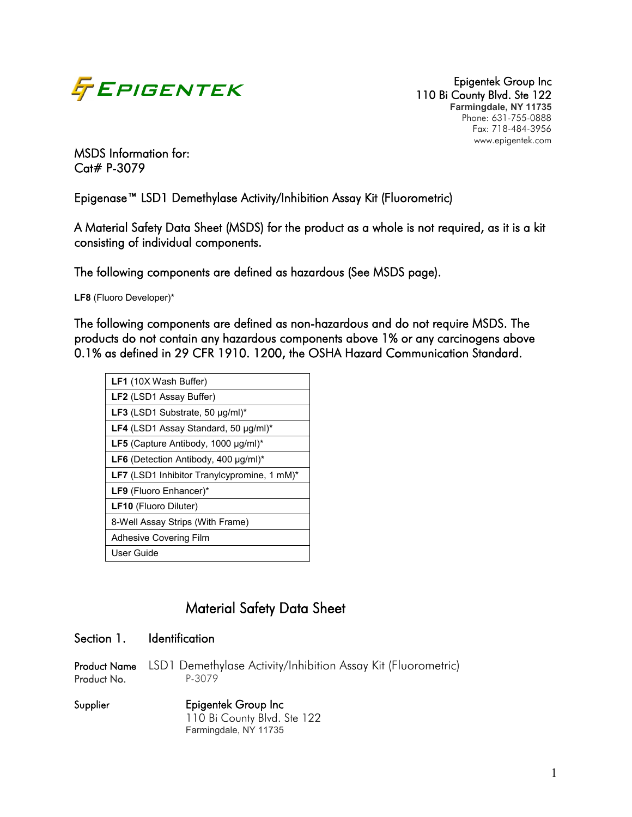

110 Bi County Blvd. Ste 122 **Farmingdale, NY 11735** Phone: 631-755-0888 Fax: 718-484-3956 www.epigentek.com

MSDS Information for: Cat# P-3079

Epigenase™ LSD1 Demethylase Activity/Inhibition Assay Kit (Fluorometric)

A Material Safety Data Sheet (MSDS) for the product as a whole is not required, as it is a kit consisting of individual components.

The following components are defined as hazardous (See MSDS page).

**LF8** (Fluoro Developer)\*

The following components are defined as non-hazardous and do not require MSDS. The products do not contain any hazardous components above 1% or any carcinogens above 0.1% as defined in 29 CFR 1910. 1200, the OSHA Hazard Communication Standard.

| <b>LF1</b> (10X Wash Buffer)                     |
|--------------------------------------------------|
| LF2 (LSD1 Assay Buffer)                          |
| LF3 (LSD1 Substrate, 50 µg/ml)*                  |
| LF4 (LSD1 Assay Standard, 50 µg/ml)*             |
| LF5 (Capture Antibody, 1000 µg/ml)*              |
| <b>LF6</b> (Detection Antibody, 400 $\mu$ g/ml)* |
| LF7 (LSD1 Inhibitor Tranylcypromine, 1 mM)*      |
| LF9 (Fluoro Enhancer)*                           |
| <b>LF10</b> (Fluoro Diluter)                     |
| 8-Well Assay Strips (With Frame)                 |
| <b>Adhesive Covering Film</b>                    |
| User Guide                                       |

# Material Safety Data Sheet

### Section 1. Identification

Product Name LSD1 Demethylase Activity/Inhibition Assay Kit (Fluorometric) Product No. P-3079

Supplier Epigentek Group Inc 110 Bi County Blvd. Ste 122 Farmingdale, NY 11735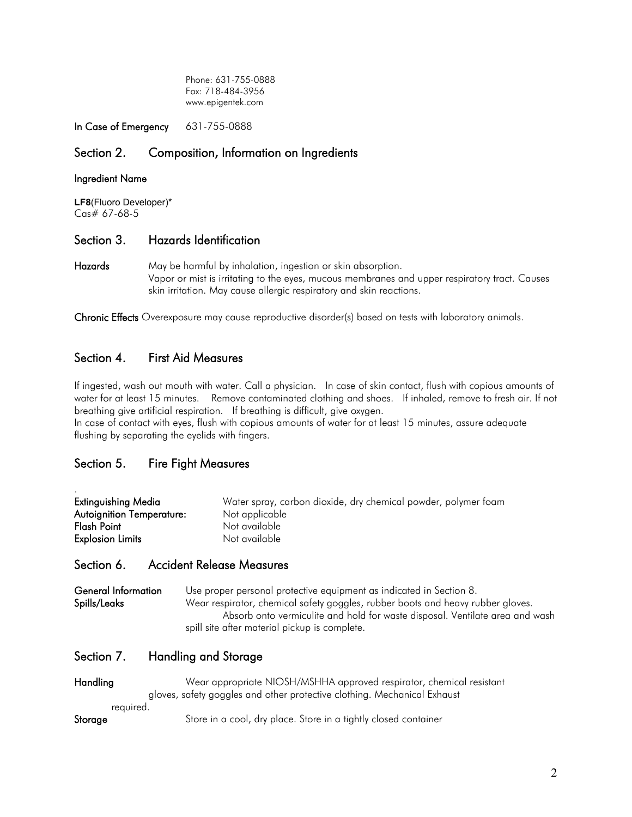Phone: 631-755-0888 Fax: 718-484-3956 www.epigentek.com

In Case of Emergency 631-755-0888

# Section 2. Composition, Information on Ingredients

#### Ingredient Name

LF8(Fluoro Developer)\*<br>Cas# 67-68-5

#### Section 3. Hazards Identification

Hazards May be harmful by inhalation, ingestion or skin absorption. Vapor or mist is irritating to the eyes, mucous membranes and upper respiratory tract. Causes skin irritation. May cause allergic respiratory and skin reactions.

Chronic Effects Overexposure may cause reproductive disorder(s) based on tests with laboratory animals.

## Section 4. First Aid Measures

If ingested, wash out mouth with water. Call a physician. In case of skin contact, flush with copious amounts of water for at least 15 minutes. Remove contaminated clothing and shoes. If inhaled, remove to fresh air. If not breathing give artificial respiration. If breathing is difficult, give oxygen.

In case of contact with eyes, flush with copious amounts of water for at least 15 minutes, assure adequate flushing by separating the eyelids with fingers.

# Section 5. Fire Fight Measures

| Extinguishing Media              | Water spray, carbon dioxide, dry chemical powder, polymer foam |
|----------------------------------|----------------------------------------------------------------|
| <b>Autoignition Temperature:</b> | Not applicable                                                 |
| Flash Point                      | Not available                                                  |
| <b>Explosion Limits</b>          | Not available                                                  |

#### Section 6. Accident Release Measures

General Information Use proper personal protective equipment as indicated in Section 8. Spills/Leaks Wear respirator, chemical safety goggles, rubber boots and heavy rubber gloves. Absorb onto vermiculite and hold for waste disposal. Ventilate area and wash spill site after material pickup is complete.

## Section 7. Handling and Storage

| <b>Handling</b> | Wear appropriate NIOSH/MSHHA approved respirator, chemical resistant     |
|-----------------|--------------------------------------------------------------------------|
|                 | gloves, safety goggles and other protective clothing. Mechanical Exhaust |
| reauired.       |                                                                          |
| Storage         | Store in a cool, dry place. Store in a tightly closed container          |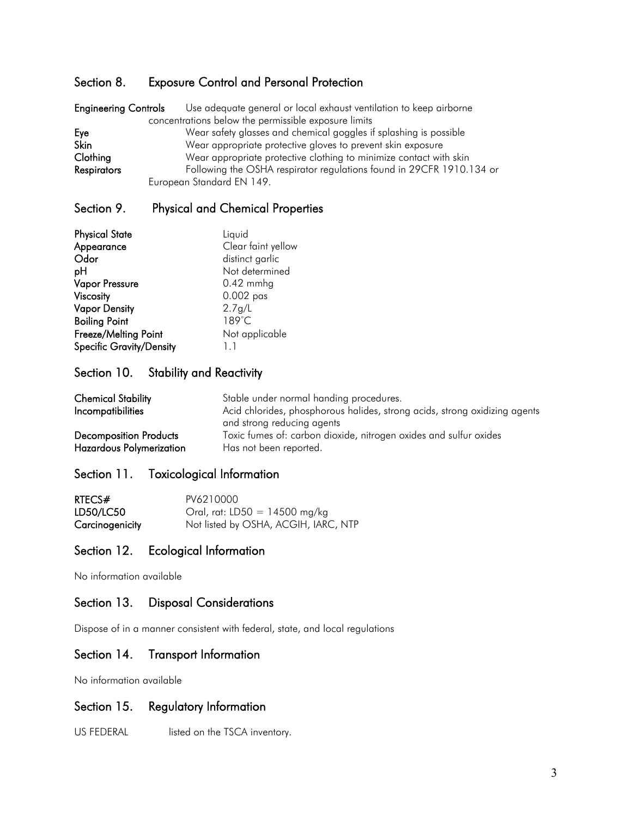# Section 8. Exposure Control and Personal Protection

| <b>Engineering Controls</b>                          | Use adequate general or local exhaust ventilation to keep airborne   |  |  |  |
|------------------------------------------------------|----------------------------------------------------------------------|--|--|--|
| concentrations below the permissible exposure limits |                                                                      |  |  |  |
| Eye                                                  | Wear safety glasses and chemical goggles if splashing is possible    |  |  |  |
| <b>Skin</b>                                          | Wear appropriate protective gloves to prevent skin exposure          |  |  |  |
| Clothing                                             | Wear appropriate protective clothing to minimize contact with skin   |  |  |  |
| <b>Respirators</b>                                   | Following the OSHA respirator regulations found in 29CFR 1910.134 or |  |  |  |
|                                                      | European Standard EN 149.                                            |  |  |  |

# Section 9. Physical and Chemical Properties

| <b>Physical State</b>           | Liquid             |
|---------------------------------|--------------------|
| Appearance                      | Clear faint yellow |
| Odor                            | distinct garlic    |
| pH                              | Not determined     |
| <b>Vapor Pressure</b>           | $0.42$ mmhg        |
| Viscosity                       | $0.002$ pas        |
| <b>Vapor Density</b>            | 2.7 g/L            |
| <b>Boiling Point</b>            | 189°C              |
| Freeze/Melting Point            | Not applicable     |
| <b>Specific Gravity/Density</b> | 1.1                |

# Section 10. Stability and Reactivity

| <b>Chemical Stability</b><br>Incompatibilities | Stable under normal handing procedures.<br>Acid chlorides, phosphorous halides, strong acids, strong oxidizing agents<br>and strong reducing agents |
|------------------------------------------------|-----------------------------------------------------------------------------------------------------------------------------------------------------|
| <b>Decomposition Products</b>                  | Toxic fumes of: carbon dioxide, nitrogen oxides and sulfur oxides                                                                                   |
| <b>Hazardous Polymerization</b>                | Has not been reported.                                                                                                                              |

# Section 11. Toxicological Information

| RTECS#          | PV6210000                            |
|-----------------|--------------------------------------|
| LD50/LC50       | Oral, rat: LD50 = 14500 mg/kg        |
| Carcinogenicity | Not listed by OSHA, ACGIH, IARC, NTP |

#### Section 12. Ecological Information

No information available

### Section 13. Disposal Considerations

Dispose of in a manner consistent with federal, state, and local regulations

# Section 14. Transport Information

No information available

## Section 15. Regulatory Information

US FEDERAL listed on the TSCA inventory.